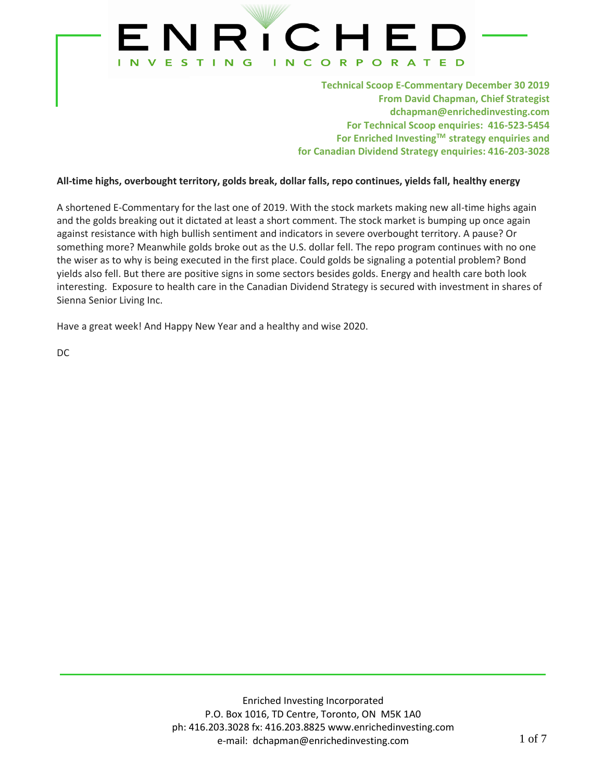

**Technical Scoop E-Commentary December 30 2019 From David Chapman, Chief Strategist dchapman@enrichedinvesting.com For Technical Scoop enquiries: 416-523-5454 For Enriched InvestingTM strategy enquiries and for Canadian Dividend Strategy enquiries: 416-203-3028**

### **All-time highs, overbought territory, golds break, dollar falls, repo continues, yields fall, healthy energy**

A shortened E-Commentary for the last one of 2019. With the stock markets making new all-time highs again and the golds breaking out it dictated at least a short comment. The stock market is bumping up once again against resistance with high bullish sentiment and indicators in severe overbought territory. A pause? Or something more? Meanwhile golds broke out as the U.S. dollar fell. The repo program continues with no one the wiser as to why is being executed in the first place. Could golds be signaling a potential problem? Bond yields also fell. But there are positive signs in some sectors besides golds. Energy and health care both look interesting. Exposure to health care in the Canadian Dividend Strategy is secured with investment in shares of Sienna Senior Living Inc.

Have a great week! And Happy New Year and a healthy and wise 2020.

DC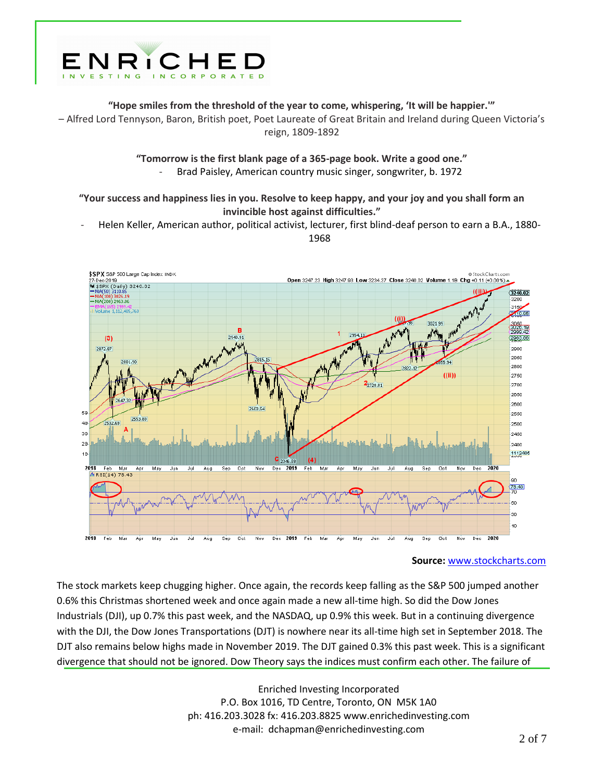

**"Hope smiles from the threshold of the year to come, whispering, 'It will be happier.'"** 

– Alfred Lord Tennyson, Baron, British poet, Poet Laureate of Great Britain and Ireland during Queen Victoria's reign, 1809-1892

**"Tomorrow is the first blank page of a 365-page book. Write a good one."**

- Brad Paisley, American country music singer, songwriter, b. 1972

**"Your success and happiness lies in you. Resolve to keep happy, and your joy and you shall form an invincible host against difficulties."**

- Helen Keller, American author, political activist, lecturer, first blind-deaf person to earn a B.A., 1880- 1968



**Source:** [www.stockcharts.com](http://www.stockcharts.com/)

The stock markets keep chugging higher. Once again, the records keep falling as the S&P 500 jumped another 0.6% this Christmas shortened week and once again made a new all-time high. So did the Dow Jones Industrials (DJI), up 0.7% this past week, and the NASDAQ, up 0.9% this week. But in a continuing divergence with the DJI, the Dow Jones Transportations (DJT) is nowhere near its all-time high set in September 2018. The DJT also remains below highs made in November 2019. The DJT gained 0.3% this past week. This is a significant divergence that should not be ignored. Dow Theory says the indices must confirm each other. The failure of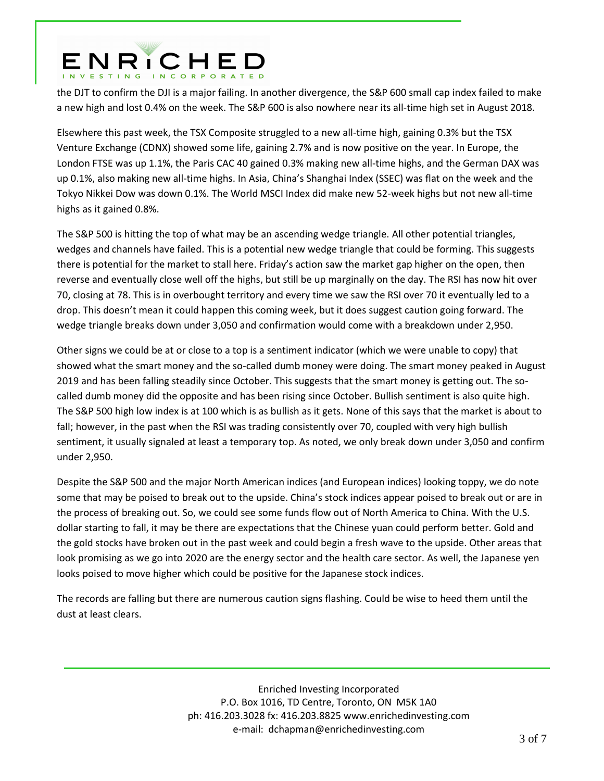## ENRICHED

the DJT to confirm the DJI is a major failing. In another divergence, the S&P 600 small cap index failed to make a new high and lost 0.4% on the week. The S&P 600 is also nowhere near its all-time high set in August 2018.

Elsewhere this past week, the TSX Composite struggled to a new all-time high, gaining 0.3% but the TSX Venture Exchange (CDNX) showed some life, gaining 2.7% and is now positive on the year. In Europe, the London FTSE was up 1.1%, the Paris CAC 40 gained 0.3% making new all-time highs, and the German DAX was up 0.1%, also making new all-time highs. In Asia, China's Shanghai Index (SSEC) was flat on the week and the Tokyo Nikkei Dow was down 0.1%. The World MSCI Index did make new 52-week highs but not new all-time highs as it gained 0.8%.

The S&P 500 is hitting the top of what may be an ascending wedge triangle. All other potential triangles, wedges and channels have failed. This is a potential new wedge triangle that could be forming. This suggests there is potential for the market to stall here. Friday's action saw the market gap higher on the open, then reverse and eventually close well off the highs, but still be up marginally on the day. The RSI has now hit over 70, closing at 78. This is in overbought territory and every time we saw the RSI over 70 it eventually led to a drop. This doesn't mean it could happen this coming week, but it does suggest caution going forward. The wedge triangle breaks down under 3,050 and confirmation would come with a breakdown under 2,950.

Other signs we could be at or close to a top is a sentiment indicator (which we were unable to copy) that showed what the smart money and the so-called dumb money were doing. The smart money peaked in August 2019 and has been falling steadily since October. This suggests that the smart money is getting out. The socalled dumb money did the opposite and has been rising since October. Bullish sentiment is also quite high. The S&P 500 high low index is at 100 which is as bullish as it gets. None of this says that the market is about to fall; however, in the past when the RSI was trading consistently over 70, coupled with very high bullish sentiment, it usually signaled at least a temporary top. As noted, we only break down under 3,050 and confirm under 2,950.

Despite the S&P 500 and the major North American indices (and European indices) looking toppy, we do note some that may be poised to break out to the upside. China's stock indices appear poised to break out or are in the process of breaking out. So, we could see some funds flow out of North America to China. With the U.S. dollar starting to fall, it may be there are expectations that the Chinese yuan could perform better. Gold and the gold stocks have broken out in the past week and could begin a fresh wave to the upside. Other areas that look promising as we go into 2020 are the energy sector and the health care sector. As well, the Japanese yen looks poised to move higher which could be positive for the Japanese stock indices.

The records are falling but there are numerous caution signs flashing. Could be wise to heed them until the dust at least clears.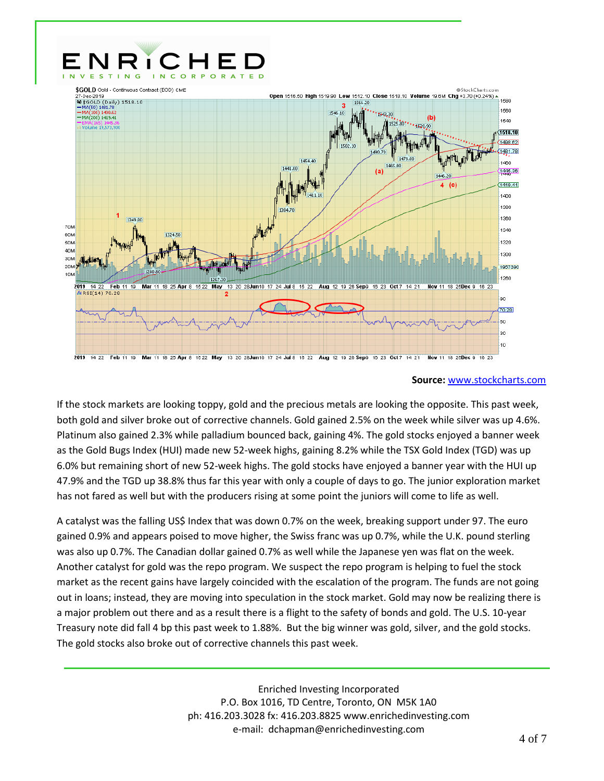

#### **Source:** [www.stockcharts.com](http://www.stockcharts.com/)

If the stock markets are looking toppy, gold and the precious metals are looking the opposite. This past week, both gold and silver broke out of corrective channels. Gold gained 2.5% on the week while silver was up 4.6%. Platinum also gained 2.3% while palladium bounced back, gaining 4%. The gold stocks enjoyed a banner week as the Gold Bugs Index (HUI) made new 52-week highs, gaining 8.2% while the TSX Gold Index (TGD) was up 6.0% but remaining short of new 52-week highs. The gold stocks have enjoyed a banner year with the HUI up 47.9% and the TGD up 38.8% thus far this year with only a couple of days to go. The junior exploration market has not fared as well but with the producers rising at some point the juniors will come to life as well.

A catalyst was the falling US\$ Index that was down 0.7% on the week, breaking support under 97. The euro gained 0.9% and appears poised to move higher, the Swiss franc was up 0.7%, while the U.K. pound sterling was also up 0.7%. The Canadian dollar gained 0.7% as well while the Japanese yen was flat on the week. Another catalyst for gold was the repo program. We suspect the repo program is helping to fuel the stock market as the recent gains have largely coincided with the escalation of the program. The funds are not going out in loans; instead, they are moving into speculation in the stock market. Gold may now be realizing there is a major problem out there and as a result there is a flight to the safety of bonds and gold. The U.S. 10-year Treasury note did fall 4 bp this past week to 1.88%. But the big winner was gold, silver, and the gold stocks. The gold stocks also broke out of corrective channels this past week.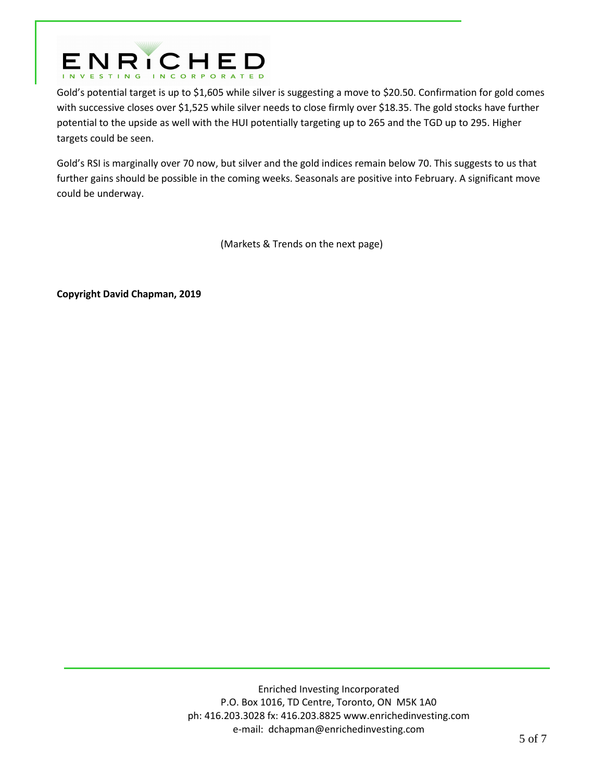

Gold's potential target is up to \$1,605 while silver is suggesting a move to \$20.50. Confirmation for gold comes with successive closes over \$1,525 while silver needs to close firmly over \$18.35. The gold stocks have further potential to the upside as well with the HUI potentially targeting up to 265 and the TGD up to 295. Higher targets could be seen.

Gold's RSI is marginally over 70 now, but silver and the gold indices remain below 70. This suggests to us that further gains should be possible in the coming weeks. Seasonals are positive into February. A significant move could be underway.

(Markets & Trends on the next page)

**Copyright David Chapman, 2019**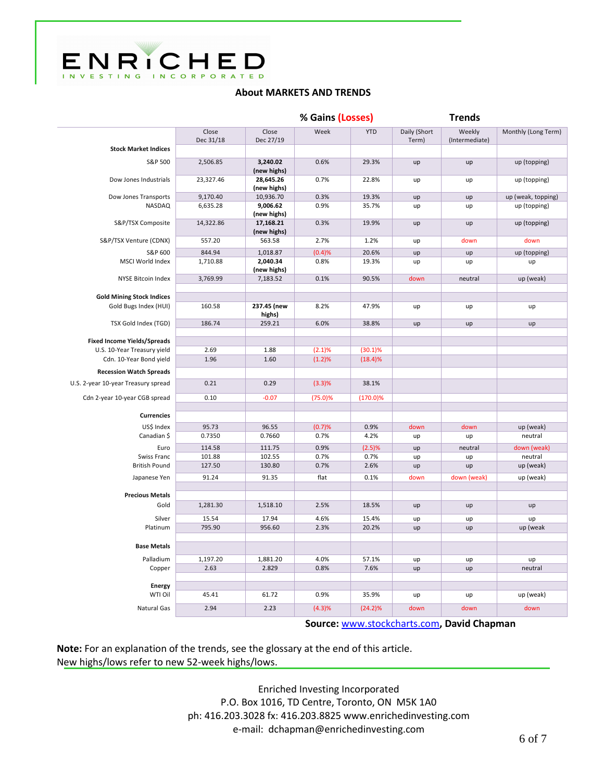

## **About MARKETS AND TRENDS**

|                                     |                    |                          | % Gains (Losses) |             | <b>Trends</b>         |                          |                     |
|-------------------------------------|--------------------|--------------------------|------------------|-------------|-----------------------|--------------------------|---------------------|
|                                     | Close<br>Dec 31/18 | Close<br>Dec 27/19       | Week             | <b>YTD</b>  | Daily (Short<br>Term) | Weekly<br>(Intermediate) | Monthly (Long Term) |
| <b>Stock Market Indices</b>         |                    |                          |                  |             |                       |                          |                     |
| S&P 500                             | 2,506.85           | 3,240.02<br>(new highs)  | 0.6%             | 29.3%       | up                    | up                       | up (topping)        |
| Dow Jones Industrials               | 23,327.46          | 28,645.26<br>(new highs) | 0.7%             | 22.8%       | up                    | up                       | up (topping)        |
| Dow Jones Transports                | 9,170.40           | 10,936.70                | 0.3%             | 19.3%       | up                    | up                       | up (weak, topping)  |
| NASDAQ                              | 6,635.28           | 9,006.62<br>(new highs)  | 0.9%             | 35.7%       | up                    | up                       | up (topping)        |
| S&P/TSX Composite                   | 14,322.86          | 17,168.21<br>(new highs) | 0.3%             | 19.9%       | up                    | up                       | up (topping)        |
| S&P/TSX Venture (CDNX)              | 557.20             | 563.58                   | 2.7%             | 1.2%        | up                    | down                     | down                |
| S&P 600                             | 844.94             | 1,018.87                 | (0.4)%           | 20.6%       | up                    | up                       | up (topping)        |
| MSCI World Index                    | 1,710.88           | 2,040.34<br>(new highs)  | 0.8%             | 19.3%       | up                    | up                       | up                  |
| <b>NYSE Bitcoin Index</b>           | 3,769.99           | 7,183.52                 | 0.1%             | 90.5%       | down                  | neutral                  | up (weak)           |
| <b>Gold Mining Stock Indices</b>    |                    |                          |                  |             |                       |                          |                     |
| Gold Bugs Index (HUI)               | 160.58             | 237.45 (new<br>highs)    | 8.2%             | 47.9%       | up                    | up                       | up                  |
| TSX Gold Index (TGD)                | 186.74             | 259.21                   | 6.0%             | 38.8%       | up                    | up                       | up                  |
| <b>Fixed Income Yields/Spreads</b>  |                    |                          |                  |             |                       |                          |                     |
| U.S. 10-Year Treasury yield         | 2.69               | 1.88                     | (2.1)%           | $(30.1)\%$  |                       |                          |                     |
| Cdn. 10-Year Bond yield             | 1.96               | 1.60                     | (1.2)%           | (18.4)%     |                       |                          |                     |
| <b>Recession Watch Spreads</b>      |                    |                          |                  |             |                       |                          |                     |
| U.S. 2-year 10-year Treasury spread | 0.21               | 0.29                     | (3.3)%           | 38.1%       |                       |                          |                     |
| Cdn 2-year 10-year CGB spread       | 0.10               | $-0.07$                  | (75.0)%          | $(170.0)\%$ |                       |                          |                     |
| <b>Currencies</b>                   |                    |                          |                  |             |                       |                          |                     |
| US\$ Index                          | 95.73              | 96.55                    | (0.7)%           | 0.9%        | down                  | down                     | up (weak)           |
| Canadian \$                         | 0.7350             | 0.7660                   | 0.7%             | 4.2%        | up                    | up                       | neutral             |
| Euro                                | 114.58             | 111.75                   | 0.9%             | (2.5)%      | up                    | neutral                  | down (weak)         |
| Swiss Franc                         | 101.88             | 102.55                   | 0.7%             | 0.7%        | up                    | up                       | neutral             |
| <b>British Pound</b>                | 127.50             | 130.80                   | 0.7%             | 2.6%        | up                    | up                       | up (weak)           |
| Japanese Yen                        | 91.24              | 91.35                    | flat             | 0.1%        | down                  | down (weak)              | up (weak)           |
| <b>Precious Metals</b>              |                    |                          |                  |             |                       |                          |                     |
| Gold                                | 1,281.30           | 1,518.10                 | 2.5%             | 18.5%       | up                    | up                       | up                  |
| Silver                              | 15.54              | 17.94                    | 4.6%             | 15.4%       | up                    | up                       | up                  |
| Platinum                            | 795.90             | 956.60                   | 2.3%             | 20.2%       | up                    | up                       | up (weak            |
| <b>Base Metals</b>                  |                    |                          |                  |             |                       |                          |                     |
| Palladium                           | 1,197.20           | 1,881.20                 | 4.0%             | 57.1%       | up                    | up                       | up                  |
| Copper                              | 2.63               | 2.829                    | 0.8%             | 7.6%        | up                    | up                       | neutral             |
| <b>Energy</b>                       |                    |                          |                  |             |                       |                          |                     |
| WTI Oil                             | 45.41              | 61.72                    | 0.9%             | 35.9%       | up                    | up                       | up (weak)           |
| <b>Natural Gas</b>                  | 2.94               | 2.23                     | (4.3)%           | $(24.2)\%$  | down                  | down                     | down                |

**Source:** [www.stockcharts.com](http://www.stockcharts.com/)**, David Chapman**

**Note:** For an explanation of the trends, see the glossary at the end of this article. New highs/lows refer to new 52-week highs/lows.